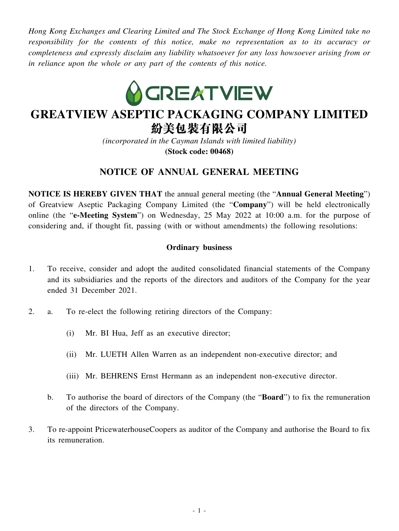*Hong Kong Exchanges and Clearing Limited and The Stock Exchange of Hong Kong Limited take no responsibility for the contents of this notice, make no representation as to its accuracy or completeness and expressly disclaim any liability whatsoever for any loss howsoever arising from or in reliance upon the whole or any part of the contents of this notice.*



# **GREATVIEW ASEPTIC PACKAGING COMPANY LIMITED** 紛美包裝有限公司

*(incorporated in the Cayman Islands with limited liability)*

**(Stock code: 00468)**

## **NOTICE OF ANNUAL GENERAL MEETING**

**NOTICE IS HEREBY GIVEN THAT** the annual general meeting (the "**Annual General Meeting**") of Greatview Aseptic Packaging Company Limited (the "**Company**") will be held electronically online (the "**e-Meeting System**") on Wednesday, 25 May 2022 at 10:00 a.m. for the purpose of considering and, if thought fit, passing (with or without amendments) the following resolutions:

### **Ordinary business**

- 1. To receive, consider and adopt the audited consolidated financial statements of the Company and its subsidiaries and the reports of the directors and auditors of the Company for the year ended 31 December 2021.
- 2. a. To re-elect the following retiring directors of the Company:
	- (i) Mr. BI Hua, Jeff as an executive director;
	- (ii) Mr. LUETH Allen Warren as an independent non-executive director; and
	- (iii) Mr. BEHRENS Ernst Hermann as an independent non-executive director.
	- b. To authorise the board of directors of the Company (the "**Board**") to fix the remuneration of the directors of the Company.
- 3. To re-appoint PricewaterhouseCoopers as auditor of the Company and authorise the Board to fix its remuneration.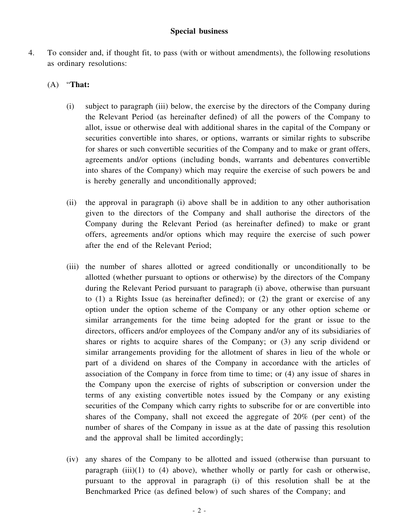#### **Special business**

4. To consider and, if thought fit, to pass (with or without amendments), the following resolutions as ordinary resolutions:

#### (A) "**That:**

- (i) subject to paragraph (iii) below, the exercise by the directors of the Company during the Relevant Period (as hereinafter defined) of all the powers of the Company to allot, issue or otherwise deal with additional shares in the capital of the Company or securities convertible into shares, or options, warrants or similar rights to subscribe for shares or such convertible securities of the Company and to make or grant offers, agreements and/or options (including bonds, warrants and debentures convertible into shares of the Company) which may require the exercise of such powers be and is hereby generally and unconditionally approved;
- (ii) the approval in paragraph (i) above shall be in addition to any other authorisation given to the directors of the Company and shall authorise the directors of the Company during the Relevant Period (as hereinafter defined) to make or grant offers, agreements and/or options which may require the exercise of such power after the end of the Relevant Period;
- (iii) the number of shares allotted or agreed conditionally or unconditionally to be allotted (whether pursuant to options or otherwise) by the directors of the Company during the Relevant Period pursuant to paragraph (i) above, otherwise than pursuant to (1) a Rights Issue (as hereinafter defined); or (2) the grant or exercise of any option under the option scheme of the Company or any other option scheme or similar arrangements for the time being adopted for the grant or issue to the directors, officers and/or employees of the Company and/or any of its subsidiaries of shares or rights to acquire shares of the Company; or (3) any scrip dividend or similar arrangements providing for the allotment of shares in lieu of the whole or part of a dividend on shares of the Company in accordance with the articles of association of the Company in force from time to time; or (4) any issue of shares in the Company upon the exercise of rights of subscription or conversion under the terms of any existing convertible notes issued by the Company or any existing securities of the Company which carry rights to subscribe for or are convertible into shares of the Company, shall not exceed the aggregate of 20% (per cent) of the number of shares of the Company in issue as at the date of passing this resolution and the approval shall be limited accordingly;
- (iv) any shares of the Company to be allotted and issued (otherwise than pursuant to paragraph  $(iii)(1)$  to  $(4)$  above), whether wholly or partly for cash or otherwise, pursuant to the approval in paragraph (i) of this resolution shall be at the Benchmarked Price (as defined below) of such shares of the Company; and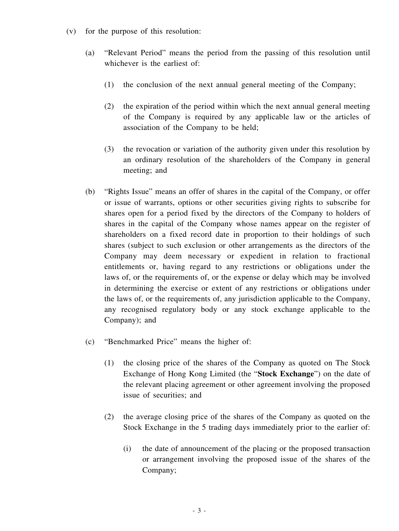- (v) for the purpose of this resolution:
	- (a) "Relevant Period" means the period from the passing of this resolution until whichever is the earliest of:
		- (1) the conclusion of the next annual general meeting of the Company;
		- (2) the expiration of the period within which the next annual general meeting of the Company is required by any applicable law or the articles of association of the Company to be held;
		- (3) the revocation or variation of the authority given under this resolution by an ordinary resolution of the shareholders of the Company in general meeting; and
	- (b) "Rights Issue" means an offer of shares in the capital of the Company, or offer or issue of warrants, options or other securities giving rights to subscribe for shares open for a period fixed by the directors of the Company to holders of shares in the capital of the Company whose names appear on the register of shareholders on a fixed record date in proportion to their holdings of such shares (subject to such exclusion or other arrangements as the directors of the Company may deem necessary or expedient in relation to fractional entitlements or, having regard to any restrictions or obligations under the laws of, or the requirements of, or the expense or delay which may be involved in determining the exercise or extent of any restrictions or obligations under the laws of, or the requirements of, any jurisdiction applicable to the Company, any recognised regulatory body or any stock exchange applicable to the Company); and
	- (c) "Benchmarked Price" means the higher of:
		- (1) the closing price of the shares of the Company as quoted on The Stock Exchange of Hong Kong Limited (the "**Stock Exchange**") on the date of the relevant placing agreement or other agreement involving the proposed issue of securities; and
		- (2) the average closing price of the shares of the Company as quoted on the Stock Exchange in the 5 trading days immediately prior to the earlier of:
			- (i) the date of announcement of the placing or the proposed transaction or arrangement involving the proposed issue of the shares of the Company;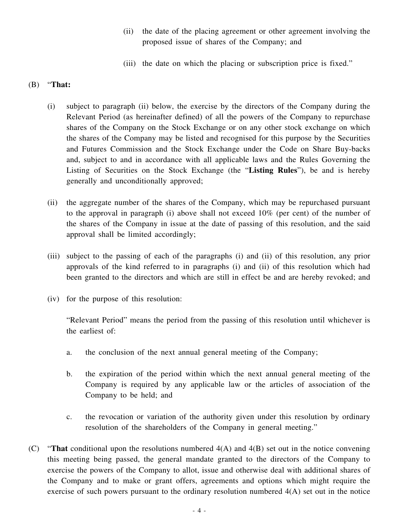- (ii) the date of the placing agreement or other agreement involving the proposed issue of shares of the Company; and
- (iii) the date on which the placing or subscription price is fixed."

#### (B) "**That:**

- (i) subject to paragraph (ii) below, the exercise by the directors of the Company during the Relevant Period (as hereinafter defined) of all the powers of the Company to repurchase shares of the Company on the Stock Exchange or on any other stock exchange on which the shares of the Company may be listed and recognised for this purpose by the Securities and Futures Commission and the Stock Exchange under the Code on Share Buy-backs and, subject to and in accordance with all applicable laws and the Rules Governing the Listing of Securities on the Stock Exchange (the "**Listing Rules**"), be and is hereby generally and unconditionally approved;
- (ii) the aggregate number of the shares of the Company, which may be repurchased pursuant to the approval in paragraph (i) above shall not exceed 10% (per cent) of the number of the shares of the Company in issue at the date of passing of this resolution, and the said approval shall be limited accordingly;
- (iii) subject to the passing of each of the paragraphs (i) and (ii) of this resolution, any prior approvals of the kind referred to in paragraphs (i) and (ii) of this resolution which had been granted to the directors and which are still in effect be and are hereby revoked; and
- (iv) for the purpose of this resolution:

"Relevant Period" means the period from the passing of this resolution until whichever is the earliest of:

- a. the conclusion of the next annual general meeting of the Company;
- b. the expiration of the period within which the next annual general meeting of the Company is required by any applicable law or the articles of association of the Company to be held; and
- c. the revocation or variation of the authority given under this resolution by ordinary resolution of the shareholders of the Company in general meeting."
- (C) "**That** conditional upon the resolutions numbered 4(A) and 4(B) set out in the notice convening this meeting being passed, the general mandate granted to the directors of the Company to exercise the powers of the Company to allot, issue and otherwise deal with additional shares of the Company and to make or grant offers, agreements and options which might require the exercise of such powers pursuant to the ordinary resolution numbered 4(A) set out in the notice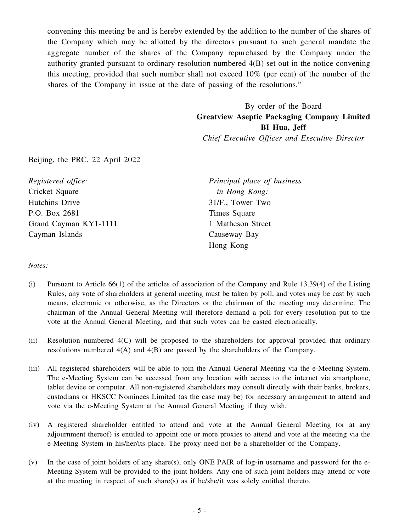convening this meeting be and is hereby extended by the addition to the number of the shares of the Company which may be allotted by the directors pursuant to such general mandate the aggregate number of the shares of the Company repurchased by the Company under the authority granted pursuant to ordinary resolution numbered 4(B) set out in the notice convening this meeting, provided that such number shall not exceed 10% (per cent) of the number of the shares of the Company in issue at the date of passing of the resolutions."

> By order of the Board **Greatview Aseptic Packaging Company Limited BI Hua, Jeff**

*Chief Executive Officer and Executive Director*

Beijing, the PRC, 22 April 2022

*Registered office:* Cricket Square Hutchins Drive P.O. Box 2681 Grand Cayman KY1-1111 Cayman Islands

*Principal place of business in Hong Kong:* 31/F., Tower Two Times Square 1 Matheson Street Causeway Bay Hong Kong

*Notes:*

- (i) Pursuant to Article 66(1) of the articles of association of the Company and Rule 13.39(4) of the Listing Rules, any vote of shareholders at general meeting must be taken by poll, and votes may be cast by such means, electronic or otherwise, as the Directors or the chairman of the meeting may determine. The chairman of the Annual General Meeting will therefore demand a poll for every resolution put to the vote at the Annual General Meeting, and that such votes can be casted electronically.
- (ii) Resolution numbered 4(C) will be proposed to the shareholders for approval provided that ordinary resolutions numbered 4(A) and 4(B) are passed by the shareholders of the Company.
- (iii) All registered shareholders will be able to join the Annual General Meeting via the e-Meeting System. The e-Meeting System can be accessed from any location with access to the internet via smartphone, tablet device or computer. All non-registered shareholders may consult directly with their banks, brokers, custodians or HKSCC Nominees Limited (as the case may be) for necessary arrangement to attend and vote via the e-Meeting System at the Annual General Meeting if they wish.
- (iv) A registered shareholder entitled to attend and vote at the Annual General Meeting (or at any adjournment thereof) is entitled to appoint one or more proxies to attend and vote at the meeting via the e-Meeting System in his/her/its place. The proxy need not be a shareholder of the Company.
- (v) In the case of joint holders of any share(s), only ONE PAIR of log-in username and password for the e-Meeting System will be provided to the joint holders. Any one of such joint holders may attend or vote at the meeting in respect of such share(s) as if he/she/it was solely entitled thereto.